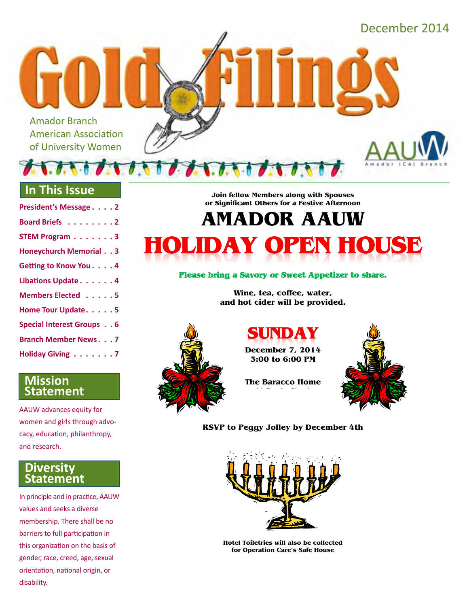December 2014

Amador Branch American Association of University Women

### **In This Issue**

| President's Message 2         |
|-------------------------------|
| Board Briefs 2                |
| <b>STEM Program 3</b>         |
| <b>Honeychurch Memorial 3</b> |
| Getting to Know You. 4        |
| Libations Update 4            |
| Members Elected 5             |
| Home Tour Update. 5           |
| Special Interest Groups 6     |
| <b>Branch Member News7</b>    |
| Holiday Giving 7              |

### **Mission Statement**

AAUW advances equity for women and girls through advocacy, education, philanthropy, and research.

### **Diversity Statement**

In principle and in practice, AAUW values and seeks a diverse membership. There shall be no barriers to full participation in this organization on the basis of gender, race, creed, age, sexual orientation, national origin, or disability.

Join fellow Members along with Spouses or Significant Others for a Festive Afternoon

# **AMADOR AAUW HOLIDAY OPEN HOUSE**

#### Please bring a Savory or Sweet Appetizer to share.

Wine, tea, coffee, water, and hot cider will be provided.



SUNDAY

**December 7, 2014** 3:00 to 6:00 PM

**The Baracco Home**  $\frac{1}{2}$  ,  $\frac{1}{2}$  ,  $\frac{1}{2}$  ,  $\frac{1}{2}$  ,  $\frac{1}{2}$  ,  $\frac{1}{2}$  ,  $\frac{1}{2}$ 



RSVP to Peggy Jolley by December 4th



Hotel Toiletries will also be collected for Operation Care's Safe House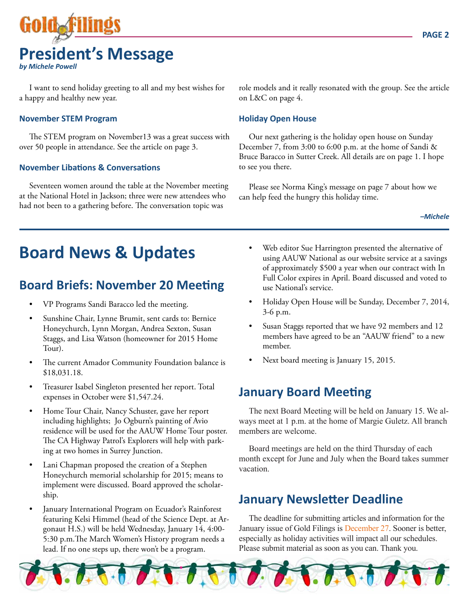

I want to send holiday greeting to all and my best wishes for a happy and healthy new year.

#### **November STEM Program**

The STEM program on November13 was a great success with over 50 people in attendance. See the article on page 3.

#### **November Libations & Conversations**

Seventeen women around the table at the November meeting at the National Hotel in Jackson; three were new attendees who had not been to a gathering before. The conversation topic was

role models and it really resonated with the group. See the article on L&C on page 4.

#### **Holiday Open House**

Our next gathering is the holiday open house on Sunday December 7, from 3:00 to 6:00 p.m. at the home of Sandi & Bruce Baracco in Sutter Creek. All details are on page 1. I hope to see you there.

Please see Norma King's message on page 7 about how we can help feed the hungry this holiday time.

*–Michele*

## **Board News & Updates**

## **Board Briefs: November 20 Meeting**

- VP Programs Sandi Baracco led the meeting.
- Sunshine Chair, Lynne Brumit, sent cards to: Bernice Honeychurch, Lynn Morgan, Andrea Sexton, Susan Staggs, and Lisa Watson (homeowner for 2015 Home Tour).
- The current Amador Community Foundation balance is \$18,031.18.
- Treasurer Isabel Singleton presented her report. Total expenses in October were \$1,547.24.
- Home Tour Chair, Nancy Schuster, gave her report including highlights; Jo Ogburn's painting of Avio residence will be used for the AAUW Home Tour poster. The CA Highway Patrol's Explorers will help with parking at two homes in Surrey Junction.
- Lani Chapman proposed the creation of a Stephen Honeychurch memorial scholarship for 2015; means to implement were discussed. Board approved the scholarship.
- January International Program on Ecuador's Rainforest featuring Kelsi Himmel (head of the Science Dept. at Argonaut H.S.) will be held Wednesday, January 14, 4:00- 5:30 p.m.The March Women's History program needs a lead. If no one steps up, there won't be a program.
- Web editor Sue Harrington presented the alternative of using AAUW National as our website service at a savings of approximately \$500 a year when our contract with In Full Color expires in April. Board discussed and voted to use National's service.
- Holiday Open House will be Sunday, December 7, 2014, 3-6 p.m.
- Susan Staggs reported that we have 92 members and 12 members have agreed to be an "AAUW friend" to a new member.
- Next board meeting is January 15, 2015.

### **January Board Meeting**

The next Board Meeting will be held on January 15. We always meet at 1 p.m. at the home of Margie Guletz. All branch members are welcome.

Board meetings are held on the third Thursday of each month except for June and July when the Board takes summer vacation.

### **January Newsletter Deadline**

The deadline for submitting articles and information for the January issue of Gold Filings is December 27. Sooner is better, especially as holiday activities will impact all our schedules. Please submit material as soon as you can. Thank you.

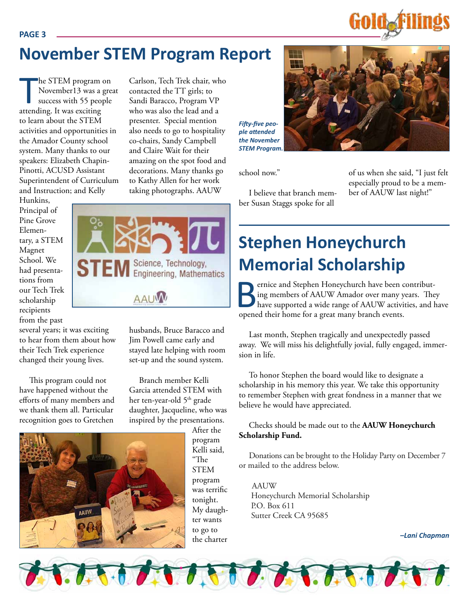## **November STEM Program Report**

Carlson, Tech Trek chair, who contacted the TT girls; to Sandi Baracco, Program VP who was also the lead and a presenter. Special mention also needs to go to hospitality co-chairs, Sandy Campbell and Claire Wait for their amazing on the spot food and decorations. Many thanks go to Kathy Allen for her work taking photographs. AAUW

he STEM program<br>November13 was a<br>success with 55 peop<br>attending. It was exciting he STEM program on November13 was a great success with 55 people to learn about the STEM activities and opportunities in the Amador County school system. Many thanks to our speakers: Elizabeth Chapin-Pinotti, ACUSD Assistant Superintendent of Curriculum and Instruction; and Kelly

Hunkins, Principal of Pine Grove Elementary, a STEM Magnet School. We had presentations from our Tech Trek scholarship recipients from the past

several years; it was exciting to hear from them about how their Tech Trek experience changed their young lives.

This program could not have happened without the efforts of many members and we thank them all. Particular recognition goes to Gretchen

husbands, Bruce Baracco and Jim Powell came early and stayed late helping with room set-up and the sound system.

Branch member Kelli Garcia attended STEM with her ten-year-old 5<sup>th</sup> grade daughter, Jacqueline, who was inspired by the presentations.

> After the program Kelli said, "The STEM program was terrific tonight. My daughter wants to go to the charter

## **Stephen Honeychurch Memorial Scholarship**

**Bernice and Stephen Honeychurch have been contributing members of AAUW Amador over many years.** The have supported a wide range of AAUW activities, and I opened their home for a great many branch events. ing members of AAUW Amador over many years. They have supported a wide range of AAUW activities, and have opened their home for a great many branch events.

Last month, Stephen tragically and unexpectedly passed away. We will miss his delightfully jovial, fully engaged, immersion in life.

To honor Stephen the board would like to designate a scholarship in his memory this year. We take this opportunity to remember Stephen with great fondness in a manner that we believe he would have appreciated.

#### Checks should be made out to the **AAUW Honeychurch Scholarship Fund.**

Donations can be brought to the Holiday Party on December 7 or mailed to the address below.

AAUW Honeychurch Memorial Scholarship P.O. Box 611 Sutter Creek CA 95685

*–Lani Chapman*

*Fifty-five people attended the November STEM Program.*

school now."

I believe that branch member Susan Staggs spoke for all





of us when she said, "I just felt especially proud to be a member of AAUW last night!"

**PAGE 3**

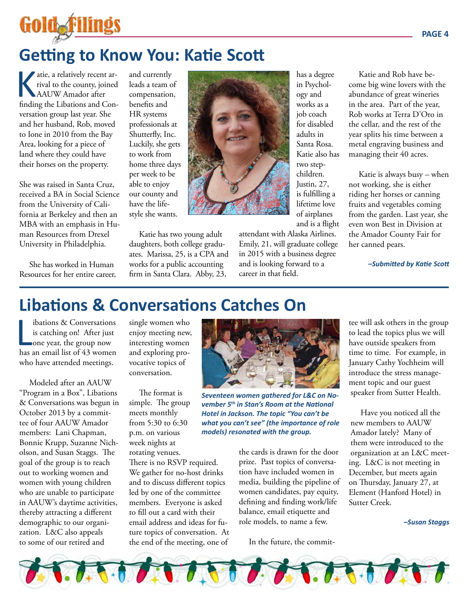

## **Getting to Know You: Katie Scott**

atie, a relatively recent ar-<br>rival to the county, joined<br>AAUW Amador after<br>finding the Libations and Conrival to the county, joined AAUW Amador after finding the Libations and Conversation group last year. She and her husband, Rob, moved to Ione in 2010 from the Bay Area, looking for a piece of land where they could have their horses on the property.

She was raised in Santa Cruz, received a BA in Social Science from the University of California at Berkeley and then an MBA with an emphasis in Human Resources from Drexel University in Philadelphia.

She has worked in Human Resources for her entire career, and currently leads a team of compensation, benefits and HR systems professionals at Shutterfly, Inc. Luckily, she gets to work from home three days per week to be able to enjoy our county and have the lifestyle she wants.

Katie has two young adult daughters, both college graduates. Marissa, 25, is a CPA and works for a public accounting firm in Santa Clara. Abby, 23,

of airplanes and is a flight attendant with Alaska Airlines. Emily, 21, will graduate college in 2015 with a business degree and is looking forward to a career in that field.

has a degree in Psychology and works as a job coach for disabled adults in Santa Rosa. Katie also has two stepchildren. Justin, 27, is fulfilling a lifetime love

Katie and Rob have become big wine lovers with the abundance of great wineries in the area. Part of the year, Rob works at Terra D'Oro in the cellar, and the rest of the year splits his time between a metal engraving business and managing their 40 acres.

Katie is always busy – when not working, she is either riding her horses or canning fruits and vegetables coming from the garden. Last year, she even won Best in Division at the Amador County Fair for her canned pears.

*–Submitted by Katie Scott* 

## **Libations & Conversations Catches On**

libations & Conversations<br>is catching on! After just<br>one year, the group now<br>has an email list of 43 women ibations & Conversations is catching on! After just one year, the group now who have attended meetings.

Modeled after an AAUW "Program in a Box", Libations & Conversations was begun in October 2013 by a committee of four AAUW Amador members: Lani Chapman, Bonnie Krupp, Suzanne Nicholson, and Susan Staggs. The goal of the group is to reach out to working women and women with young children who are unable to participate in AAUW's daytime activities, thereby attracting a different demographic to our organization. L&C also appeals to some of our retired and

single women who enjoy meeting new, interesting women and exploring provocative topics of conversation.

The format is simple. The group meets monthly from 5:30 to 6:30 p.m. on various week nights at rotating venues.

There is no RSVP required. We gather for no-host drinks and to discuss different topics led by one of the committee members. Everyone is asked to fill out a card with their email address and ideas for future topics of conversation. At the end of the meeting, one of



*Seventeen women gathered for L&C on November 5th in Stan's Room at the National Hotel in Jackson. The topic "You can't be what you can't see" (the importance of role models) resonated with the group.*

the cards is drawn for the door prize. Past topics of conversation have included women in media, building the pipeline of women candidates, pay equity, defining and finding work/life balance, email etiquette and role models, to name a few.

In the future, the commit-

tee will ask others in the group to lead the topics plus we will have outside speakers from time to time. For example, in January Cathy Yochheim will introduce the stress management topic and our guest speaker from Sutter Health.

Have you noticed all the new members to AAUW Amador lately? Many of them were introduced to the organization at an L&C meeting. L&C is not meeting in December, but meets again on Thursday, January 27, at Element (Hanford Hotel) in Sutter Creek.

#### *–Susan Staggs*

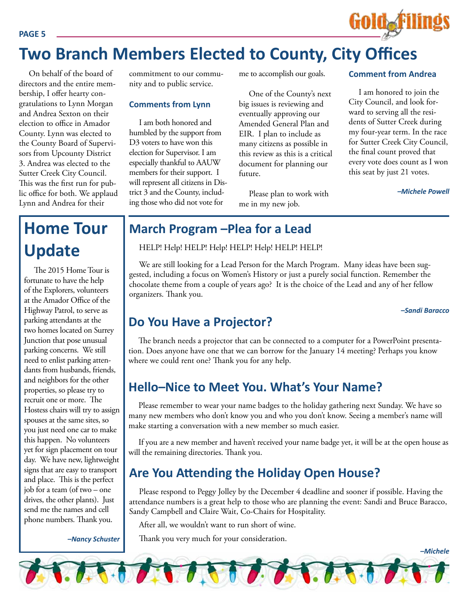#### **PAGE 5**



## **Two Branch Members Elected to County, City Offices**

On behalf of the board of directors and the entire membership, I offer hearty congratulations to Lynn Morgan and Andrea Sexton on their election to office in Amador County. Lynn was elected to the County Board of Supervisors from Upcounty District 3. Andrea was elected to the Sutter Creek City Council. This was the first run for public office for both. We applaud Lynn and Andrea for their

commitment to our community and to public service.

#### **Comments from Lynn**

I am both honored and humbled by the support from D3 voters to have won this election for Supervisor. I am especially thankful to AAUW members for their support. I will represent all citizens in District 3 and the County, including those who did not vote for

me to accomplish our goals.

One of the County's next big issues is reviewing and eventually approving our Amended General Plan and EIR. I plan to include as many citizens as possible in this review as this is a critical document for planning our future.

Please plan to work with me in my new job.

#### **Comment from Andrea**

I am honored to join the City Council, and look forward to serving all the residents of Sutter Creek during my four-year term. In the race for Sutter Creek City Council, the final count proved that every vote does count as I won this seat by just 21 votes.

*–Michele Powell*

## **Home Tour Update**

The 2015 Home Tour is fortunate to have the help of the Explorers, volunteers at the Amador Office of the Highway Patrol, to serve as parking attendants at the two homes located on Surrey Junction that pose unusual parking concerns. We still need to enlist parking attendants from husbands, friends, and neighbors for the other properties, so please try to recruit one or more. The Hostess chairs will try to assign spouses at the same sites, so you just need one car to make this happen. No volunteers yet for sign placement on tour day. We have new, lightweight signs that are easy to transport and place. This is the perfect job for a team (of two – one drives, the other plants). Just send me the names and cell phone numbers. Thank you.

*–Nancy Schuster*

### **March Program –Plea for a Lead**

HELP! Help! HELP! Help! HELP! Help! HELP! HELP!

We are still looking for a Lead Person for the March Program. Many ideas have been suggested, including a focus on Women's History or just a purely social function. Remember the chocolate theme from a couple of years ago? It is the choice of the Lead and any of her fellow organizers. Thank you.

*–Sandi Baracco*

### **Do You Have a Projector?**

The branch needs a projector that can be connected to a computer for a PowerPoint presentation. Does anyone have one that we can borrow for the January 14 meeting? Perhaps you know where we could rent one? Thank you for any help.

### **Hello–Nice to Meet You. What's Your Name?**

Please remember to wear your name badges to the holiday gathering next Sunday. We have so many new members who don't know you and who you don't know. Seeing a member's name will make starting a conversation with a new member so much easier.

If you are a new member and haven't received your name badge yet, it will be at the open house as will the remaining directories. Thank you.

## **Are You Attending the Holiday Open House?**

Please respond to Peggy Jolley by the December 4 deadline and sooner if possible. Having the attendance numbers is a great help to those who are planning the event: Sandi and Bruce Baracco, Sandy Campbell and Claire Wait, Co-Chairs for Hospitality.

After all, we wouldn't want to run short of wine.

Thank you very much for your consideration.

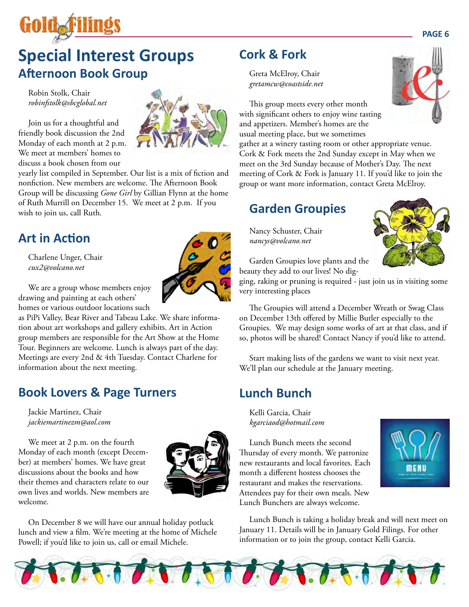

## **Special Interest Groups Afternoon Book Group**

Robin Stolk, Chair *robinfstolk@sbcglobal.net*

Join us for a thoughtful and friendly book discussion the 2nd Monday of each month at 2 p.m. We meet at members' homes to discuss a book chosen from our

yearly list compiled in September. Our list is a mix of fiction and nonfiction. New members are welcome. The Afternoon Book Group will be discussing *Gone Girl* by Gillian Flynn at the home of Ruth Murrill on December 15. We meet at 2 p.m. If you wish to join us, call Ruth.

## **Art in Action**

Charlene Unger, Chair *cux2@volcano.net*



We are a group whose members enjoy drawing and painting at each others' homes or various outdoor locations such

as PiPi Valley, Bear River and Tabeau Lake. We share information about art workshops and gallery exhibits. Art in Action group members are responsible for the Art Show at the Home Tour. Beginners are welcome. Lunch is always part of the day. Meetings are every 2nd & 4th Tuesday. Contact Charlene for information about the next meeting.

## **Book Lovers & Page Turners**

Jackie Martinez, Chair *jackiemartinezm@aol.com*

We meet at 2 p.m. on the fourth Monday of each month (except December) at members' homes. We have great discussions about the books and how their themes and characters relate to our own lives and worlds. New members are welcome.



On December 8 we will have our annual holiday potluck lunch and view a film. We're meeting at the home of Michele Powell; if you'd like to join us, call or email Michele.

**RASHA** 

## **Cork & Fork**

Greta McElroy, Chair *gretamcw@coastside.net*

This group meets every other month with significant others to enjoy wine tasting and appetizers. Member's homes are the usual meeting place, but we sometimes

gather at a winery tasting room or other appropriate venue. Cork & Fork meets the 2nd Sunday except in May when we meet on the 3rd Sunday because of Mother's Day. The next meeting of Cork & Fork is January 11. If you'd like to join the group or want more information, contact Greta McElroy.

## **Garden Groupies**

Nancy Schuster, Chair *nancys@volcano.net*



Garden Groupies love plants and the beauty they add to our lives! No dig-

ging, raking or pruning is required - just join us in visiting some very interesting places

The Groupies will attend a December Wreath or Swag Class on December 13th offered by Millie Butler especially to the Groupies. We may design some works of art at that class, and if so, photos will be shared! Contact Nancy if you'd like to attend.

Start making lists of the gardens we want to visit next year. We'll plan our schedule at the January meeting.

## **Lunch Bunch**

Lunch Bunch meets the second month a different hostess chooses the restaurant and makes the reservations. Attendees pay for their own meals. New Lunch Bunchers are always welcome.



Lunch Bunch is taking a holiday break and will next meet on January 11. Details will be in January Gold Filings. For other information or to join the group, contact Kelli Garcia.